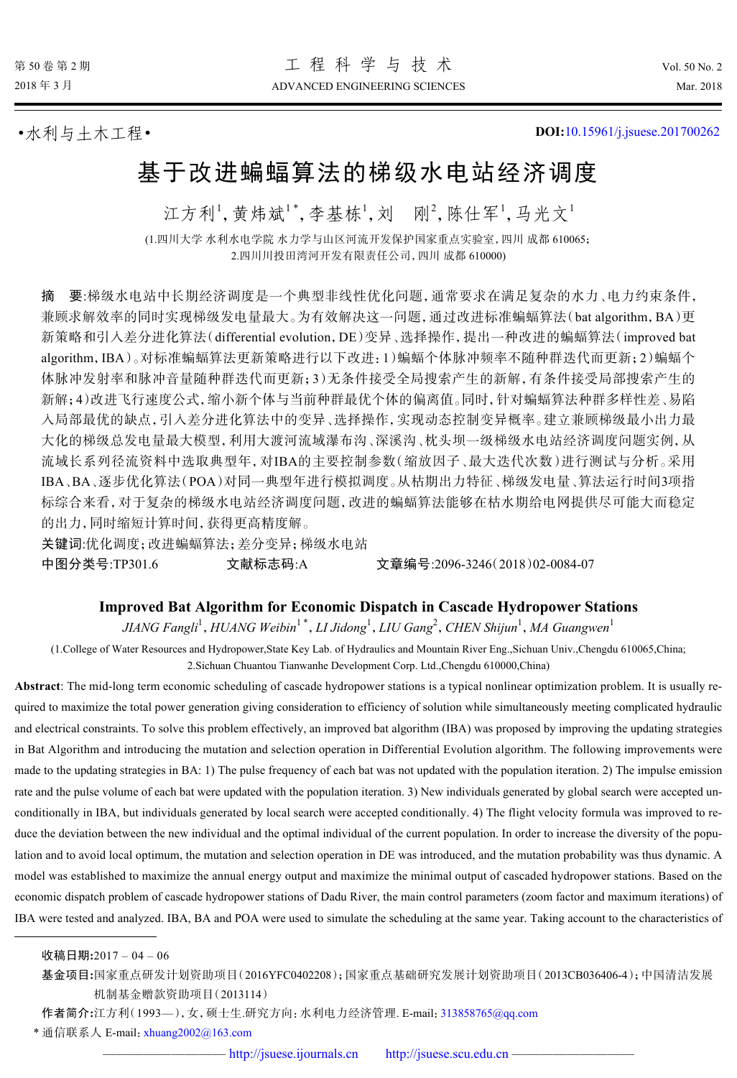•水利与土木工程• **DOI:**[10.15961/j.jsuese.201700262](http://dx.doi.org/10.15961/j.jsuese.201700262)

# 基于改进蝙蝠算法的梯级水电站经济调度

江方利1,黄炜斌1\*,李基栋1,刘 刚2,陈仕军1,马光文1

(1.四川大学 水利水电学院 水力学与山区河流开发保护国家重点实验室,四川 成都 610065; 2.四川川投田湾河开发有限责任公司,四川 成都 610000)

摘 要:梯级水电站中长期经济调度是一个典型非线性优化问题,通常要求在满足复杂的水力、电力约束条件, 兼顾求解效率的同时实现梯级发电量最大。为有效解决这一问题,通过改进标准蝙蝠算法(bat algorithm,BA)更 新策略和引入差分进化算法(differential evolution,DE)变异、选择操作,提出一种改进的蝙蝠算法(improved bat algorithm,IBA)。对标准蝙蝠算法更新策略进行以下改进:1)蝙蝠个体脉冲频率不随种群迭代而更新;2)蝙蝠个 体脉冲发射率和脉冲音量随种群迭代而更新;3)无条件接受全局搜索产生的新解,有条件接受局部搜索产生的 新解;4)改进飞行速度公式,缩小新个体与当前种群最优个体的偏离值。同时,针对蝙蝠算法种群多样性差、易陷 入局部最优的缺点,引入差分进化算法中的变异、选择操作,实现动态控制变异概率。建立兼顾梯级最小出力最 大化的梯级总发电量最大模型,利用大渡河流域瀑布沟、深溪沟、枕头坝一级梯级水电站经济调度问题实例,从 流域长系列径流资料中选取典型年,对IBA的主要控制参数(缩放因子、最大迭代次数)进行测试与分析。采用 IBA、BA、逐步优化算法(POA)对同一典型年进行模拟调度。从枯期出力特征、梯级发电量、算法运行时间3项指 标综合来看,对于复杂的梯级水电站经济调度问题,改进的蝙蝠算法能够在枯水期给电网提供尽可能大而稳定 的出力,同时缩短计算时间,获得更高精度解。

关键词:优化调度;改进蝙蝠算法;差分变异;梯级水电站 中图分类号:TP301.6 文献标志码:A 文章编号:2096-3246(2018)02-0084-07

## **Improved Bat Algorithm for Economic Dispatch in Cascade Hydropower Stations**

*JIANG Fangli*<sup>1</sup> ,*HUANG Weibin*<sup>1</sup> \* ,*LI Jidong*<sup>1</sup> ,*LIU Gang*<sup>2</sup> ,*CHEN Shijun*<sup>1</sup> ,*MA Guangwen*<sup>1</sup>

(1.College of Water Resources and Hydropower,State Key Lab. of Hydraulics and Mountain River Eng.,Sichuan Univ.,Chengdu 610065,China; 2.Sichuan Chuantou Tianwanhe Development Corp. Ltd.,Chengdu 610000,China)

**Abstract**: The mid-long term economic scheduling of cascade hydropower stations is a typical nonlinear optimization problem. It is usually required to maximize the total power generation giving consideration to efficiency of solution while simultaneously meeting complicated hydraulic and electrical constraints. To solve this problem effectively, an improved bat algorithm (IBA) was proposed by improving the updating strategies in Bat Algorithm and introducing the mutation and selection operation in Differential Evolution algorithm. The following improvements were made to the updating strategies in BA: 1) The pulse frequency of each bat was not updated with the population iteration. 2) The impulse emission rate and the pulse volume of each bat were updated with the population iteration. 3) New individuals generated by global search were accepted unconditionally in IBA, but individuals generated by local search were accepted conditionally. 4) The flight velocity formula was improved to reduce the deviation between the new individual and the optimal individual of the current population. In order to increase the diversity of the population and to avoid local optimum, the mutation and selection operation in DE was introduced, and the mutation probability was thus dynamic. A model was established to maximize the annual energy output and maximize the minimal output of cascaded hydropower stations. Based on the economic dispatch problem of cascade hydropower stations of Dadu River, the main control parameters (zoom factor and maximum iterations) of IBA were tested and analyzed. IBA, BA and POA were used to simulate the scheduling at the same year. Taking account to the characteristics of

收稿日期**:**2017 – 04 – 06

基金项目**:**国家重点研发计划资助项目(2016YFC0402208);国家重点基础研究发展计划资助项目(2013CB036406-4);中国清洁发展 机制基金赠款资助项目(2013114)

作者简介**:**江方利(1993—),女,硕士生.研究方向:水利电力经济管理. E-mail:[313858765@qq.com](mailto:313858765@qq.com)

\* 通信联系人 E-mail:[xhuang2002@163.com](mailto:xhuang2002@163.com)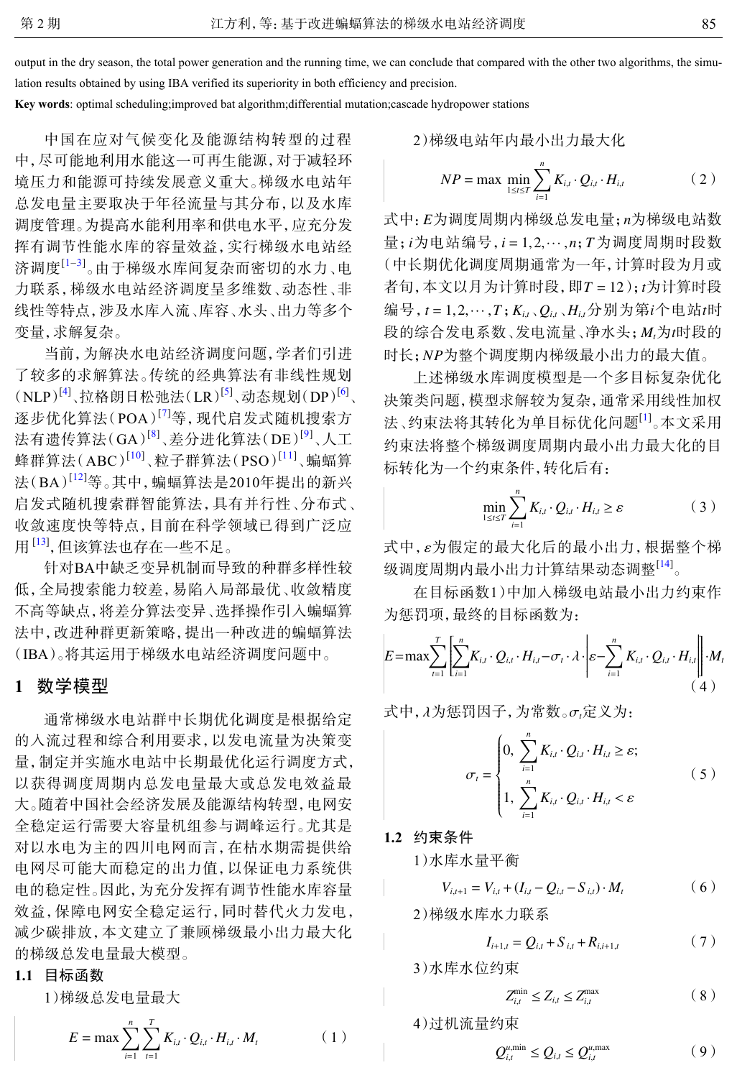output in the dry season, the total power generation and the running time, we can conclude that compared with the other two algorithms, the simulation results obtained by using IBA verified its superiority in both efficiency and precision.

**Key words**: optimal scheduling;improved bat algorithm;differential mutation;cascade hydropower stations

中国在应对气候变化及能源结构转型的过程 中,尽可能地利用水能这一可再生能源,对于减轻环 境压力和能源可持续发展意义重大。梯级水电站年 总发电量主要取决于年径流量与其分布,以及水库 调度管理。为提高水能利用率和供电水平,应充分发 挥有调节性能水库的容量效益,实行梯级水电站经 济调度<sup>[\[1](#page-5-0)–[3](#page-5-1)]</sup>。由于梯级水库间复杂而密切的水力、电 力联系,梯级水电站经济调度呈多维数、动态性、非 线性等特点,涉及水库入流、库容、水头、出力等多个 变量,求解复杂。

当前,为解决水电站经济调度问题,学者们引进 了较多的求解算法。传统的经典算法有非线性规划 (NLP)<sup>[[4](#page-5-2)]</sup>、拉格朗日松弛法(LR)<sup>[[5](#page-5-3)]</sup>、动态规划(DP)<sup>[[6](#page-5-4)]</sup>、 逐步优化算法(POA)<sup>[[7](#page-6-0)]</sup>等,现代启发式随机搜索方 法有遗传算法(GA)<sup>[[8](#page-6-1)]</sup>、差分进化算法(DE)<sup>[[9](#page-6-2)]</sup>、人工 蜂群算法(ABC)<sup>[[10](#page-6-3)]</sup>﹑粒子群算法(PSO)<sup>[[11](#page-6-4)]</sup>﹑蝙蝠算 法(BA)<sup>[[12](#page-6-5)]</sup>等。其中, 蝙蝠算法是2010年提出的新兴 启发式随机搜索群智能算法,具有并行性、分布式、 收敛速度快等特点,目前在科学领域已得到广泛应 用<sup>[\[13](#page-6-6)]</sup>, 但该算法也存在一些不足。

针对BA中缺乏变异机制而导致的种群多样性较 低,全局搜索能力较差,易陷入局部最优、收敛精度 不高等缺点,将差分算法变异、选择操作引入蝙蝠算 法中,改进种群更新策略,提出一种改进的蝙蝠算法 (IBA)。将其运用于梯级水电站经济调度问题中。

# **1** 数学模型

通常梯级水电站群中长期优化调度是根据给定 的入流过程和综合利用要求,以发电流量为决策变 量,制定并实施水电站中长期最优化运行调度方式, 以获得调度周期内总发电量最大或总发电效益最 大。随着中国社会经济发展及能源结构转型,电网安 全稳定运行需要大容量机组参与调峰运行。尤其是 对以水电为主的四川电网而言,在枯水期需提供给 电网尽可能大而稳定的出力值,以保证电力系统供 电的稳定性。因此,为充分发挥有调节性能水库容量 效益,保障电网安全稳定运行,同时替代火力发电, 减少碳排放,本文建立了兼顾梯级最小出力最大化 的梯级总发电量最大模型。

## **1.1** 目标函数

1)梯级总发电量最大

$$
E = \max \sum_{i=1}^{n} \sum_{t=1}^{T} K_{i,t} \cdot Q_{i,t} \cdot H_{i,t} \cdot M_t
$$
 (1)

2)構ြtext>使用
$$
\frac{1}{2} \frac{1}{2} \frac{1}{2} \frac{1}{2} \sum_{i=1}^{n} K_{i,t} \cdot Q_{i,t} \cdot H_{i,t}
$$

式中: *E*为调度周期内梯级总发电量; n为梯级电站数 量; *i* 为电站编号, *i* = 1,2,…, *n*; *T* 为调度周期时段数 者旬,本文以月为计算时段,即T = 12 ); *t*为计算时段 编号,  $t = 1, 2, \cdots, T$ ;  $K_{i,t}$ ,  $Q_{i,t}$ ,  $H_{i,t}$ 分别为第 $i$ 个电站 $t$ 时 段的综合发电系数、发电流量、净水头; *M<sub>t</sub>为t*时段的 时长;*NP*为整个调度期内梯级最小出力的最大值。 (中长期优化调度周期通常为一年,计算时段为月或

上述梯级水库调度模型是一个多目标复杂优化 决策类问题,模型求解较为复杂,通常采用线性加权 法、约束法将其转化为单目标优化问题<sup>[[1](#page-5-0)]</sup>。本文采用 约束法将整个梯级调度周期内最小出力最大化的目 标转化为一个约束条件,转化后有:

$$
\min_{1 \leq t \leq T} \sum_{i=1}^{n} K_{i,t} \cdot Q_{i,t} \cdot H_{i,t} \geq \varepsilon \tag{3}
$$

式中,ε为假定的最大化后的最小出力,根据整个梯 级调度周期内最小出力计算结果动态调整<sup>[\[14](#page-6-7)]</sup>。

在目标函数1)中加入梯级电站最小出力约束作 为惩罚项,最终的目标函数为:

$$
E = \max \sum_{t=1}^{T} \left[ \sum_{i=1}^{n} K_{i,t} \cdot Q_{i,t} \cdot H_{i,t} - \sigma_t \cdot \lambda \cdot \middle| \varepsilon - \sum_{i=1}^{n} K_{i,t} \cdot Q_{i,t} \cdot H_{i,t} \right] \cdot M_t
$$
\n(4)

式中, λ 为惩罚因子,为常数。σ*t*定义为:

$$
\sigma_{t} = \begin{cases} 0, \sum_{i=1}^{n} K_{i,t} \cdot Q_{i,t} \cdot H_{i,t} \geq \varepsilon; \\ 1, \sum_{i=1}^{n} K_{i,t} \cdot Q_{i,t} \cdot H_{i,t} < \varepsilon \end{cases} \tag{5}
$$

## **1.2** 约束条件

1)水库水量平衡

$$
V_{i,t+1} = V_{i,t} + (I_{i,t} - Q_{i,t} - S_{i,t}) \cdot M_t \tag{6}
$$

2)梯级水库水力联系

$$
I_{i+1,t} = Q_{i,t} + S_{i,t} + R_{i,i+1,t} \tag{7}
$$

3)水库水位约束

$$
Z_{i,t}^{\min} \le Z_{i,t} \le Z_{i,t}^{\max} \tag{8}
$$

4)过机流量约束

$$
Q_{i,t}^{u,\min} \le Q_{i,t} \le Q_{i,t}^{u,\max} \tag{9}
$$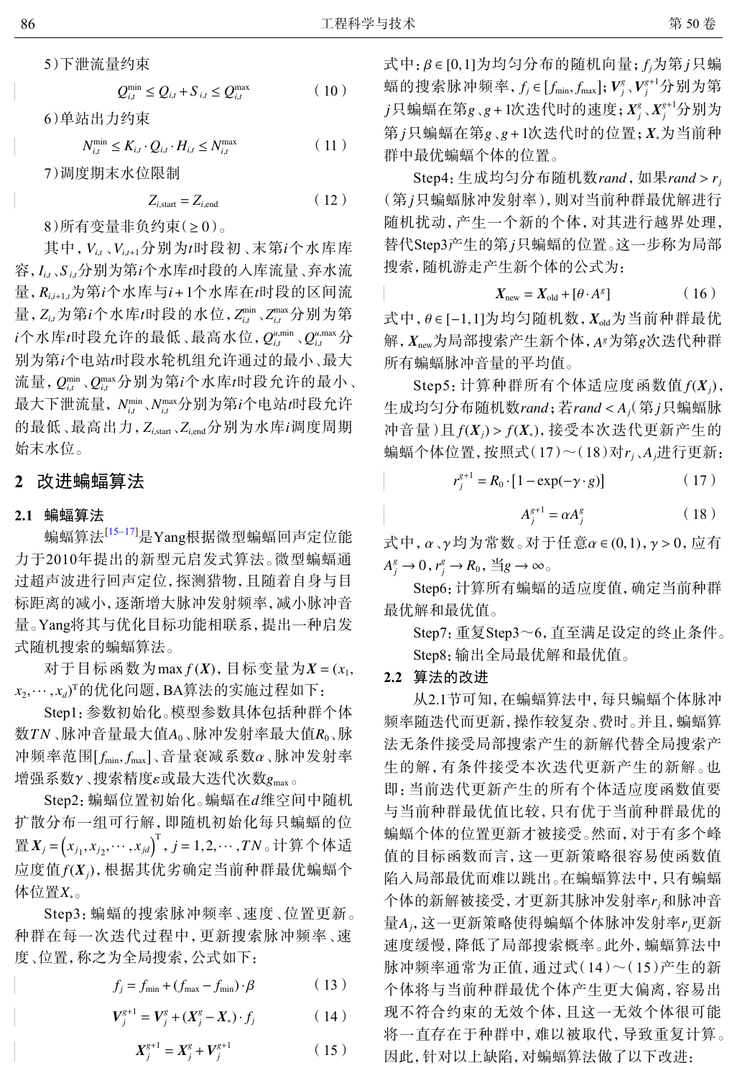5)下泄流量约束

$$
Q_{i,t}^{\min} \le Q_{i,t} + S_{i,t} \le Q_{i,t}^{\max} \tag{10}
$$

6)单站出力约束

$$
N_{i,t}^{\min} \le K_{i,t} \cdot Q_{i,t} \cdot H_{i,t} \le N_{i,t}^{\max} \tag{11}
$$

7)调度期末水位限制

$$
Z_{i,\text{start}} = Z_{i,\text{end}} \tag{12}
$$

 $8)$ 所有变量非负约束(≥ $0)$ 。

其中,  $V_{i,t}$ 、 $V_{i,t\text{-}1}$ 分别为 $t$ 时段初、末第 $i$ 个水库库 *Ii*,*<sup>t</sup> S <sup>i</sup>*,*<sup>t</sup> i t* 容, 、 分别为第 个水库 时段的入库流量、弃水流  $\exists$ ,  $R_{i,i+1,t}$ 为第 $i$ 个水库与 $i$ +1个水库在 $t$ 时段的区间流 量,  $Z_{i,t}$ 为第 $i$ 个水库 $t$ 时段的水位,  $Z_{i,t}^{\min}$ ,  $Z_{i,t}^{\max}$ 分别为第  $\iota$ 个水库 $\iota$ 时段允许的最低、最高水位,  $Q_{\iota,\iota}^{\iota,\min}$ 、 $Q_{\iota,\iota}^{\iota,\max}$ 分 别为第i个电站*t*时段水轮机组允许通过的最小、最大 流量,  $Q_{i,t}^{\min},Q_{i,t}^{\max}$ 分别为第 $i$ 个水库 $t$ 时段允许的最小、 最大下泄流量,  $N^{\min}_{i,t}$ 、 $N^{\max}_{i,t}$ 分别为第 $i$ 个电站 $t$ 时段允许 的最低、最高出力,  $Z_{i,{\rm start}}$ ,  $Z_{i,{\rm end}}$ 分别为水库 $i$ 调度周期 始末水位。

#### **2** 改进蝙蝠算法

#### **2.1** 蝙蝠算法

蝙蝠算法<sup>[[15–](#page-6-8)[17\]](#page-6-9)</sup>是Yang根据微型蝙蝠回声定位能 力于2010年提出的新型元启发式算法。微型蝙蝠通 过超声波进行回声定位,探测猎物,且随着自身与目 标距离的减小,逐渐增大脉冲发射频率,减小脉冲音 量。Yang将其与优化目标功能相联系,提出一种启发 式随机搜索的蝙蝠算法。

 $\pi$  于 目 标 函 数 为 max  $f(X)$ , 目 标 变 量 为  $X = (x_1, x_2, \ldots, x_n)$ *x*2 ,··· , *xd*) T 的优化问题,BA算法的实施过程如下:

数 $\mathit{T} N$  、脉冲音量最大值A $_0$  、脉冲发射率最大值 $R_0$  、脉 冲频率范围  $[f_{\text{min}}, f_{\text{max}}]$ 、音量衰减系数α、脉冲发射率 增强系数γ、搜索精度ε或最大迭代次数g<sub>max。</sub> Step1:参数初始化。模型参数具体包括种群个体

*Step2*: 蝙蝠位置初始化。蝙蝠在*d*维空间中随机 置 $\pmb{X}_j = \left(x_{j_1}, x_{j_2}, \cdots, x_{jd}\right)^{\text{T}}$ ,  $j = 1, 2, \cdots, TN$ 。计算个体适 应度值 *f*(X<sub>j</sub>), 根据其优劣确定当前种群最优蝙蝠个 体位置 $X_{\ast}$ 。 扩散分布一组可行解,即随机初始化每只蝙蝠的位

Step3:蝙蝠的搜索脉冲频率、速度、位置更新。 种群在每一次迭代过程中,更新搜索脉冲频率、速 度、位置,称之为全局搜索,公式如下:

$$
f_j = f_{\min} + (f_{\max} - f_{\min}) \cdot \beta \tag{13}
$$

$$
V_j^{g+1} = V_j^g + (X_j^g - X_*) \cdot f_j \tag{14}
$$

$$
X_j^{g+1} = X_j^g + V_j^{g+1} \tag{15}
$$

式中:β∈[0,1]为均匀分布的随机向量; *f<sub>j</sub>为第 j*只蝙 蝠的搜索脉冲频率,  $f_j$  ∈ [ $f_{\min}, f_{\max}$ ];  $\boldsymbol{V}^{\text{g}}_j$ ,  $\boldsymbol{V}^{\text{g+1}}_j$ 分别为第  $j$ 只蝙蝠在第 $g_{\searrow}g$ +1次迭代时的速度;  $X_j^s$ ,  $X_j^{s+1}$ 分别为 第 *j* 只蝙蝠在第 <sub>8、8</sub> + 1次迭代时的位置; *X* <sub>\*</sub>为当前种 群中最优蝙蝠个体的位置。

 $Step4$ : 生成均匀分布随机数 *rand* , 如果 *rand* > r<sub>j</sub> (第 *j*只蝙蝠脉冲发射率 ) , 则对当前种群最优解进行 替代Step3产生的第 j只蝙蝠的位置。这一步称为局部 随机扰动,产生一个新的个体,对其进行越界处理, 搜索,随机游走产生新个体的公式为:

$$
X_{\text{new}} = X_{\text{old}} + [\theta \cdot A^g] \tag{16}
$$

式中,  $\theta$ ∈ [−1,1]为均匀随机数,  $X_{\text{old}}$ 为当前种群最优  $\#$ ,  $X_\text{new}$ 为局部搜索产生新个体, $A$ 8为第 $g$ 次迭代种群 所有蝙蝠脉冲音量的平均值。

 $Step 5:$  计算种群所有个体适应度函数值  $f(X_j)$ , 生成均匀分布随机数 $r$ and;若 $r$ and<A<sub>*j*</sub>(第 $j$ 只蝙蝠脉 冲音量)且 $f(X_j) > f(X_*)$ ,接受本次迭代更新产生的 蝙蝠个体位置,按照式 $(17) \sim (18)$ 对 $r_j$ 、 $A_j$ 进行更新:

$$
r_j^{g+1} = R_0 \cdot [1 - \exp(-\gamma \cdot g)] \tag{17}
$$

$$
A_j^{g+1} = \alpha A_j^g \tag{18}
$$

式中, α、γ均为常数。对于任意α ∈ (0,1), γ > 0, 应有  $A_j^g \rightarrow 0, r_j^g \rightarrow R_0, \exists g \rightarrow \infty$ 

Step6:计算所有蝙蝠的适应度值,确定当前种群 最优解和最优值。

Step7:重复Step3~6,直至满足设定的终止条件。 Step8:输出全局最优解和最优值。

## **2.2** 算法的改进

个体的新解被接受,才更新其脉冲发射率 r<sub>j</sub>和脉冲音 量A<sub>j</sub>, 这一更新策略使得蝙蝠个体脉冲发射率r<sub>j</sub>更新 从2.1节可知,在蝙蝠算法中,每只蝙蝠个体脉冲 频率随迭代而更新,操作较复杂、费时。并且,蝙蝠算 法无条件接受局部搜索产生的新解代替全局搜索产 生的解,有条件接受本次迭代更新产生的新解。也 即:当前迭代更新产生的所有个体适应度函数值要 与当前种群最优值比较,只有优于当前种群最优的 蝙蝠个体的位置更新才被接受。然而,对于有多个峰 值的目标函数而言,这一更新策略很容易使函数值 陷入局部最优而难以跳出。在蝙蝠算法中,只有蝙蝠 速度缓慢,降低了局部搜索概率。此外,蝙蝠算法中 脉冲频率通常为正值,通过式(14)~(15)产生的新 个体将与当前种群最优个体产生更大偏离,容易出 现不符合约束的无效个体,且这一无效个体很可能 将一直存在于种群中,难以被取代,导致重复计算。 因此,针对以上缺陷,对蝙蝠算法做了以下改进: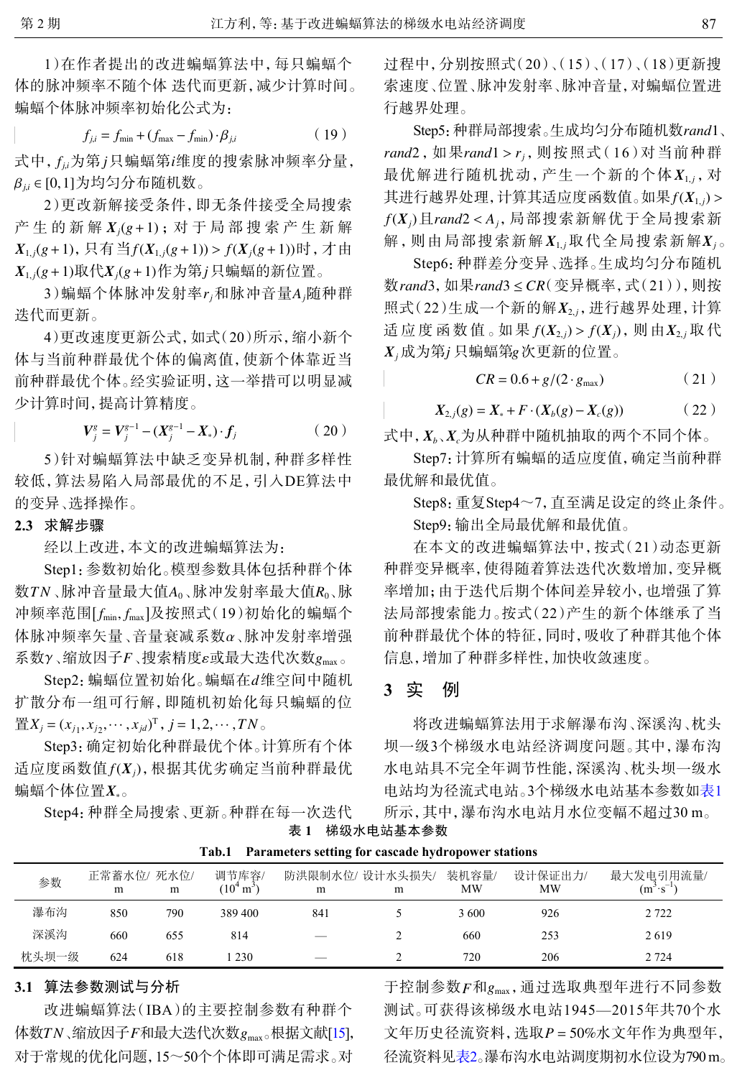1)在作者提出的改进蝙蝠算法中,每只蝙蝠个 体的脉冲频率不随个体 迭代而更新,减少计算时间。 蝙蝠个体脉冲频率初始化公式为:

$$
f_{j,i} = f_{\min} + (f_{\max} - f_{\min}) \cdot \beta_{j,i} \tag{19}
$$

式中,  $f_{\mu}$ 为第 j只蝙蝠第 $i$ 维度的搜索脉冲频率分量, β*j*,*<sup>i</sup>* ∈ [0,1] 为均匀分布随机数。

产生的新解  $X_j$ (g + 1) ; 对 于 局 部 搜 索 产 生 新 解  $X_{1,j}(g+1)$ ,只有当 $f(X_{1,j}(g+1)) > f(X_j(g+1))$ 时,才由  $X_{1,j}(g+1)$ 取代 $X_j(g+1)$ 作为第 $j$ 只蝙蝠的新位置。 2)更改新解接受条件,即无条件接受全局搜索

3)蝙蝠个体脉冲发射率*r<sup>j</sup>* 和脉冲音量 *Aj* 随种群 迭代而更新。

4)更改速度更新公式,如式(20)所示,缩小新个 体与当前种群最优个体的偏离值,使新个体靠近当 前种群最优个体。经实验证明,这一举措可以明显减 少计算时间,提高计算精度。

$$
V_j^g = V_j^{g-1} - (X_j^{g-1} - X_*) \cdot f_j \tag{20}
$$

5)针对蝙蝠算法中缺乏变异机制,种群多样性 较低,算法易陷入局部最优的不足,引入DE算法中 的变异、选择操作。

#### **2.3** 求解步骤

经以上改进,本文的改进蝙蝠算法为:

数 $\mathit{T} N$  、脉冲音量最大值A $_0$  、脉冲发射率最大值 $R_0$  、脉 冲频率范围 [fmin, fmax]及按照式(19)初始化的蝙蝠个 体脉冲频率矢量、音量衰减系数α、脉冲发射率增强 系数γ、缩放因子F、搜索精度ε或最大迭代次数 g<sub>max</sub>。 Step1:参数初始化。模型参数具体包括种群个体

Step2: 蝙蝠位置初始化。蝙蝠在d维空间中随机  $\mathbb{E}[X_j = (x_{j_1}, x_{j_2}, \cdots, x_{jd})^T, j = 1, 2, \cdots, TN$ 扩散分布一组可行解,即随机初始化每只蝙蝠的位

适应度函数值 *f*(X<sub>j</sub>), 根据其优劣确定当前种群最优 蝙蝠个体位置 $\pmb{X}_\ast$ 。 Step3:确定初始化种群最优个体。计算所有个体

Step4:种群全局搜索、更新。种群在每一次迭代

过程中,分别按照式(20)、(15)、(17)、(18)更新搜 索速度、位置、脉冲发射率、脉冲音量,对蝙蝠位置进 行越界处理。

Step5: 种群局部搜索。生成均匀分布随机数*rand*1、 *rand*2 , 如果*rand*1 > *r<sub>j</sub>* , 则按照式(16)对当前种群 最优解进行随机扰动, 产生一个新的个体  $X_{1,j}$ , 对 其进行越界处理,计算其适应度函数值。如果 $f(\pmb{X}_{1,j})$  >  $f(\pmb{X}_j)$ 且rand2 < A<sub>j</sub>, 局部搜索新解优于全局搜索新 解,则由局部搜索新解 $X_{1,j}$ 取代全局搜索新解 $X_j$ 。

数*rand*3, 如果*rand*3≤CR( 变异概率, 式(21)), 则按 照式(22)生成一个新的解 $X_{2,j}$ , 进行越界处理, 计算 适 应 度 函 数 值 。如 果  $f(\pmb{X}_{2,j}) > f(\pmb{X}_{j})$ ,则 由 $\pmb{X}_{2,j}$  取 代  $X_j$ 成为第 $j$  只蝙蝠第 $g$  次更新的位置。 Step6:种群差分变异、选择。生成均匀分布随机

$$
CR = 0.6 + g/(2 \cdot g_{\text{max}}) \tag{21}
$$

$$
X_{2,j}(g) = X_* + F \cdot (X_b(g) - X_c(g)) \tag{22}
$$

式中, *Xb*、*Xc*为从种群中随机抽取的两个不同个体。

Step7:计算所有蝙蝠的适应度值,确定当前种群 最优解和最优值。

Step8:重复Step4~7,直至满足设定的终止条件。 Step9:输出全局最优解和最优值。

在本文的改进蝙蝠算法中,按式(21)动态更新 种群变异概率,使得随着算法迭代次数增加,变异概 率增加;由于迭代后期个体间差异较小,也增强了算 法局部搜索能力。按式(22)产生的新个体继承了当 前种群最优个体的特征,同时,吸收了种群其他个体 信息,增加了种群多样性,加快收敛速度。

## **3** 实 例

<span id="page-3-0"></span>将改进蝙蝠算法用于求解瀑布沟、深溪沟、枕头 坝一级3个梯级水电站经济调度问题。其中,瀑布沟 水电站具不完全年调节性能,深溪沟、枕头坝一级水 电站均为径流式电站。3个梯级水电站基本参数如[表](#page-3-0)[1](#page-3-0) 所示,其中,瀑布沟水电站月水位变幅不超过30 m。

表 **1** 梯级水电站基本参数

|       |                 |     | Tab.1                            | <b>Parameters setting for cascade hydropower stations</b> |   |             |               |                                   |
|-------|-----------------|-----|----------------------------------|-----------------------------------------------------------|---|-------------|---------------|-----------------------------------|
| 参数    | 正常蓄水位/死水位/<br>m | m   | 调节库容/<br>$(10^4 \,\mathrm{m}^3)$ | 防洪限制水位/ 设计水头损失/<br>m                                      | m | 装机容量/<br>МW | 设计保证出力/<br>MW | 最大发电引用流量/<br>$(m^3 \cdot s^{-1})$ |
| 瀑布沟   | 850             | 790 | 389 400                          | 841                                                       |   | 3600        | 926           | 2 7 2 2                           |
| 深溪沟   | 660             | 655 | 814                              |                                                           |   | 660         | 253           | 2619                              |
| 枕头坝一级 | 624             | 618 | 230                              |                                                           |   | 720         | 206           | 2 7 2 4                           |

# **3.1** 算法参数测试与分析

体数TN、缩放因子F和最大迭代次数 $g_{\text{\tiny{max}}}$ 。根据文献[[15\]](#page-6-8), 改进蝙蝠算法(IBA)的主要控制参数有种群个 对于常规的优化问题,15~50个个体即可满足需求。对

于控制参数 $_F$ 和 $g_{\rm max}$ ,通过选取典型年进行不同参数 文年历史径流资料, 选取P=50%水文年作为典型年, 测试。可获得该梯级水电站1945—2015年共70个水 径流资料见表2。瀑布沟水电站调度期初水位设为790 m。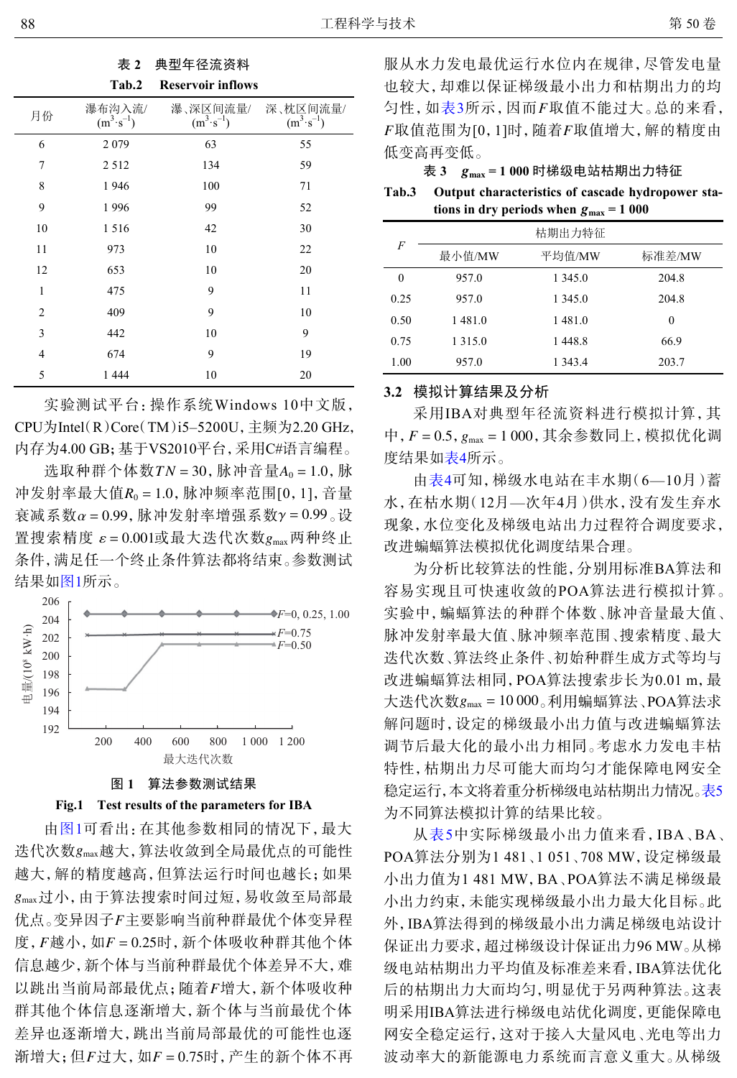| 表 2 |    | 典型年径流资料 |  |  |
|-----|----|---------|--|--|
|     | n. |         |  |  |

|    | Tab.2                          | <b>Reservoir inflows</b>         |                                  |
|----|--------------------------------|----------------------------------|----------------------------------|
| 月份 | 瀑布沟入流/<br>$(m^3 \cdot s^{-1})$ | 瀑、深区间流量/<br>$(m^3 \cdot s^{-1})$ | 深、枕区间流量/<br>$(m^3 \cdot s^{-1})$ |
| 6  | 2079                           | 63                               | 55                               |
| 7  | 2512                           | 134                              | 59                               |
| 8  | 1946                           | 100                              | 71                               |
| 9  | 1996                           | 99                               | 52                               |
| 10 | 1516                           | 42                               | 30                               |
| 11 | 973                            | 10                               | 22                               |
| 12 | 653                            | 10                               | 20                               |
| 1  | 475                            | 9                                | 11                               |
| 2  | 409                            | 9                                | 10                               |
| 3  | 442                            | 10                               | 9                                |
| 4  | 674                            | 9                                | 19                               |
| 5  | 1 4 4 4                        | 10                               | 20                               |

实验测试平台:操作系统Windows 10中文版, CPU为Intel(R)Core(TM)i5–5200U,主频为2.20 GHz, 内存为4.00 GB;基于VS2010平台,采用C#语言编程。

选取种群个体数 $TN = 30$ , 脉冲音量 $A_0 = 1.0$ , 脉 冲发射率最大值R<sub>0</sub>=1.0, 脉冲频率范围[0, 1], 音量 衰减系数α = 0.99, 脉冲发射率增强系数γ = 0.99 。设 置搜索精度 ε=0.001或最大迭代次数 $g_{\text{\tiny{max}}}$ 两种终止 条件,满足任一个终止条件算法都将结束。参数测试 结果如[图](#page-4-0)[1](#page-4-0)所示。

<span id="page-4-0"></span>



迭代次数 gmax 越大, 算法收敛到全局最优点的可能性 *g*max 过小,由于算法搜索时间过短,易收敛至局部最 优点。变异因子F主要影响当前种群最优个体变异程 度, *F* 越小, 如 *F* = 0.25时, 新个体吸收种群其他个体 以跳出当前局部最优点;随着F增大,新个体吸收种 渐增大; 但 *F* 过大, 如 *F* = 0.75时, 产生的新个体不再 由[图](#page-4-0)[1](#page-4-0)可看出:在其他参数相同的情况下,最大 越大,解的精度越高,但算法运行时间也越长;如果 信息越少,新个体与当前种群最优个体差异不大,难 群其他个体信息逐渐增大,新个体与当前最优个体 差异也逐渐增大,跳出当前局部最优的可能性也逐

匀性, 如表3所示, 因而 F取值不能过大。总的来看,  $F$ 取值范围为[ $0,1$ ]时,随着 $F$ 取值增大, 解的精度由 服从水力发电最优运行水位内在规律,尽管发电量 也较大,却难以保证梯级最小出力和枯期出力的均 低变高再变低。

表 *g*max  **3 = 1 000** 时梯级电站枯期出力特征

tions in dry periods when  $g_{\text{max}} = 1000$ **Tab.3 Output characteristics of cascade hydropower sta-**

|                | 枯期出力特征    |         |        |  |  |  |  |
|----------------|-----------|---------|--------|--|--|--|--|
| $\overline{F}$ | 最小值/MW    | 平均值/MW  | 标准差/MW |  |  |  |  |
| $\theta$       | 957.0     | 1 345.0 | 204.8  |  |  |  |  |
| 0.25           | 957.0     | 1 345.0 | 204.8  |  |  |  |  |
| 0.50           | 1481.0    | 1481.0  | 0      |  |  |  |  |
| 0.75           | 1 3 1 5 0 | 1448.8  | 66.9   |  |  |  |  |
| 1.00           | 957.0     | 1 343.4 | 203.7  |  |  |  |  |

### **3.2** 模拟计算结果及分析

中, *F* = 0.5,  $g_{\text{max}}$  = 1 000, 其余参数同上, 模拟优化调 采用IBA对典型年径流资料进行模拟计算,其 度结果如[表](#page-5-5)[4](#page-5-5)所示。

由[表](#page-5-5)[4](#page-5-5)可知,梯级水电站在丰水期(6—10月)蓄 水,在枯水期(12月—次年4月)供水,没有发生弃水 现象,水位变化及梯级电站出力过程符合调度要求, 改进蝙蝠算法模拟优化调度结果合理。

大迭代次数 g<sub>max</sub> = 10 000。利用蝙蝠算法、POA算法求 为分析比较算法的性能,分别用标准BA算法和 容易实现且可快速收敛的POA算法进行模拟计算。 实验中,蝙蝠算法的种群个体数、脉冲音量最大值、 脉冲发射率最大值、脉冲频率范围、搜索精度、最大 迭代次数、算法终止条件、初始种群生成方式等均与 改进蝙蝠算法相同,POA算法搜索步长为0.01 m,最 解问题时,设定的梯级最小出力值与改进蝙蝠算法 调节后最大化的最小出力相同。考虑水力发电丰枯 特性,枯期出力尽可能大而均匀才能保障电网安全 稳定运行,本文将着重分析梯级电站枯期出力情况[。表](#page-5-6)[5](#page-5-6) 为不同算法模拟计算的结果比较。

从[表](#page-5-6)[5](#page-5-6)中实际梯级最小出力值来看,IBA、BA、 POA算法分别为1 481、1 051、708 MW,设定梯级最 小出力值为1 481 MW,BA、POA算法不满足梯级最 小出力约束,未能实现梯级最小出力最大化目标。此 外,IBA算法得到的梯级最小出力满足梯级电站设计 保证出力要求,超过梯级设计保证出力96 MW。从梯 级电站枯期出力平均值及标准差来看,IBA算法优化 后的枯期出力大而均匀,明显优于另两种算法。这表 明采用IBA算法进行梯级电站优化调度,更能保障电 网安全稳定运行,这对于接入大量风电、光电等出力 波动率大的新能源电力系统而言意义重大。从梯级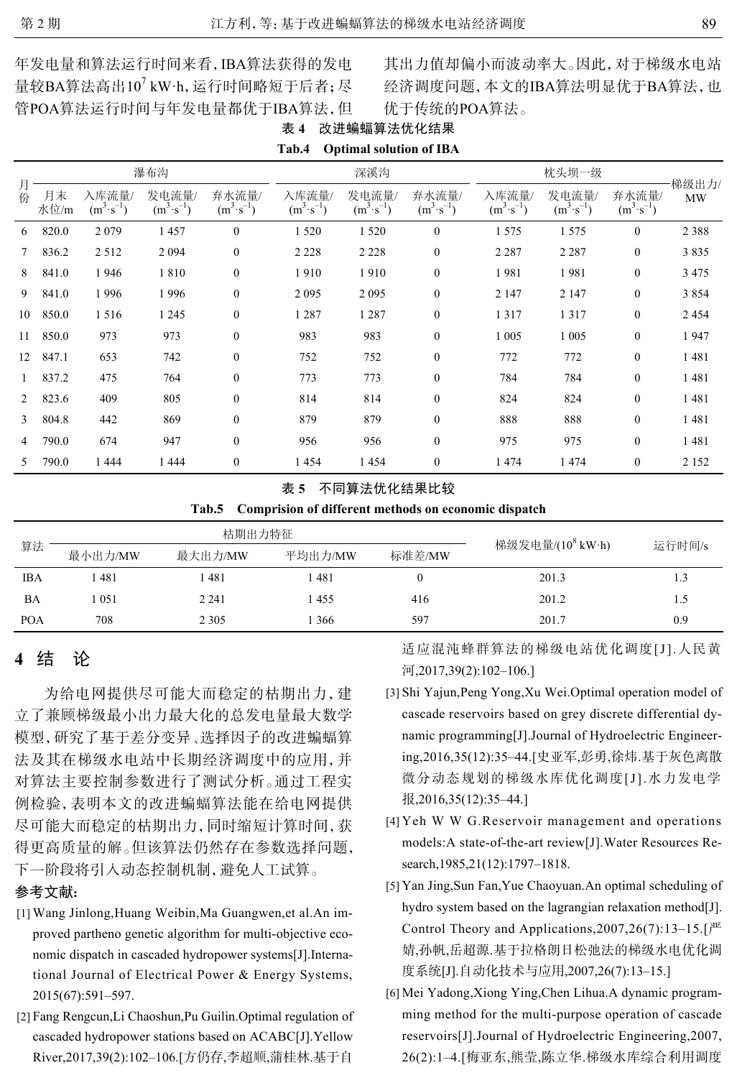年发电量和算法运行时间来看,IBA算法获得的发电 量较BA算法高出10<sup>7</sup> kW·h, 运行时间略短于后者; 尽 管POA算法运行时间与年发电量都优于IBA算法,但 其出力值却偏小而波动率大。因此,对于梯级水电站 经济调度问题,本文的IBA算法明显优于BA算法,也 优于传统的POA算法。

|                |            |                               |                               |                               | -----                         | $\sim$ permits because of $\sim$ |                               |                               |                               |                               |                    |
|----------------|------------|-------------------------------|-------------------------------|-------------------------------|-------------------------------|----------------------------------|-------------------------------|-------------------------------|-------------------------------|-------------------------------|--------------------|
|                | 瀑布沟        |                               |                               |                               |                               | 深溪沟                              |                               |                               | 枕头坝一级                         |                               |                    |
| 月<br>份         | 月末<br>水位/m | 入库流量/<br>$(m^3 \cdot s^{-1})$ | 发电流量/<br>$(m^3 \cdot s^{-1})$ | 弃水流量/<br>$(m^3 \cdot s^{-1})$ | 入库流量/<br>$(m^3 \cdot s^{-1})$ | 发电流量/<br>$(m^3 \cdot s^{-1})$    | 弃水流量/<br>$(m^3 \cdot s^{-1})$ | 入库流量/<br>$(m^3 \cdot s^{-1})$ | 发电流量/<br>$(m^3 \cdot s^{-1})$ | 弃水流量/<br>$(m^3 \cdot s^{-1})$ | 梯级出力/<br><b>MW</b> |
| 6              | 820.0      | 2079                          | 1457                          | $\mathbf{0}$                  | 1 5 2 0                       | 1520                             | $\theta$                      | 1 5 7 5                       | 1 5 7 5                       | $\mathbf{0}$                  | 2 3 8 8            |
| $7^{\circ}$    | 836.2      | 2 5 1 2                       | 2 0 9 4                       | $\mathbf{0}$                  | 2 2 2 8                       | 2 2 2 8                          | $\theta$                      | 2 2 8 7                       | 2 2 8 7                       | $\mathbf{0}$                  | 3835               |
| 8              | 841.0      | 1946                          | 1810                          | $\mathbf{0}$                  | 1910                          | 1910                             | $\theta$                      | 1981                          | 1981                          | $\mathbf{0}$                  | 3 4 7 5            |
| 9              | 841.0      | 1996                          | 1996                          | $\mathbf{0}$                  | 2095                          | 2095                             | $\theta$                      | 2 1 4 7                       | 2 1 4 7                       | $\mathbf{0}$                  | 3854               |
| 10             | 850.0      | 1516                          | 1 2 4 5                       | $\mathbf{0}$                  | 1 2 8 7                       | 1 2 8 7                          | $\mathbf{0}$                  | 1317                          | 1317                          | $\mathbf{0}$                  | 2454               |
| 11             | 850.0      | 973                           | 973                           | $\mathbf{0}$                  | 983                           | 983                              | $\mathbf{0}$                  | 1 0 0 5                       | 1 0 0 5                       | $\mathbf{0}$                  | 1947               |
| 12             | 847.1      | 653                           | 742                           | $\mathbf{0}$                  | 752                           | 752                              | $\theta$                      | 772                           | 772                           | $\mathbf{0}$                  | 1481               |
|                | 837.2      | 475                           | 764                           | $\mathbf{0}$                  | 773                           | 773                              | $\theta$                      | 784                           | 784                           | $\bf{0}$                      | 1481               |
| $\overline{2}$ | 823.6      | 409                           | 805                           | $\mathbf{0}$                  | 814                           | 814                              | $\mathbf{0}$                  | 824                           | 824                           | $\mathbf{0}$                  | 1481               |
| 3              | 804.8      | 442                           | 869                           | $\mathbf{0}$                  | 879                           | 879                              | $\overline{0}$                | 888                           | 888                           | $\boldsymbol{0}$              | 1481               |
| $\overline{4}$ | 790.0      | 674                           | 947                           | $\mathbf{0}$                  | 956                           | 956                              | $\theta$                      | 975                           | 975                           | $\mathbf{0}$                  | 1481               |
| 5              | 790.0      | 1444                          | 1444                          | $\mathbf{0}$                  | 1454                          | 1454                             | $\boldsymbol{0}$              | 1474                          | 1474                          | $\mathbf{0}$                  | 2 1 5 2            |

<span id="page-5-5"></span>表 **4** 改进蝙蝠算法优化结果 **Tab.4 Optimal solution of IBA**

#### <span id="page-5-6"></span>表 **5** 不同算法优化结果比较

|  | Tab.5 Comprision of different methods on economic dispatch |  |  |  |  |
|--|------------------------------------------------------------|--|--|--|--|
|--|------------------------------------------------------------|--|--|--|--|

|            |         | 枯期出力特征  |         |        |                              |        |
|------------|---------|---------|---------|--------|------------------------------|--------|
| 算法         | 最小出力/MW | 最大出力/MW | 平均出力/MW | 标准差/MW | 梯级发电量/(10 <sup>8</sup> kW·h) | 运行时间/s |
| <b>IBA</b> | .481    | l 481   | l 481   |        | 201.3                        |        |
| BA         | 1051    | 2 2 4 1 | 1455    | 416    | 201.2                        |        |
| <b>POA</b> | 708     | 2 3 0 5 | 366     | 597    | 201.7                        | 0.9    |

# **4** 结 论

为给电网提供尽可能大而稳定的枯期出力,建 立了兼顾梯级最小出力最大化的总发电量最大数学 模型,研究了基于差分变异、选择因子的改进蝙蝠算 法及其在梯级水电站中长期经济调度中的应用,并 对算法主要控制参数进行了测试分析。通过工程实 例检验,表明本文的改进蝙蝠算法能在给电网提供 尽可能大而稳定的枯期出力,同时缩短计算时间,获 得更高质量的解。但该算法仍然存在参数选择问题, 下一阶段将引入动态控制机制,避免人工试算。

## 参考文献:

- <span id="page-5-0"></span>Wang Jinlong,Huang Weibin,Ma Guangwen,et al.An im-[1] proved partheno genetic algorithm for multi-objective economic dispatch in cascaded hydropower systems[J].International Journal of Electrical Power & Energy Systems, 2015(67):591–597.
- [2] Fang Rengcun, Li Chaoshun, Pu Guilin. Optimal regulation of cascaded hydropower stations based on ACABC[J].Yellow River,2017,39(2):102–106.[方仍存,李超顺,蒲桂林.基于自

适应混沌蜂群算法的梯级电站优化调度[J].人民黄 河,2017,39(2):102–106.]

- <span id="page-5-1"></span>[3] Shi Yajun, Peng Yong, Xu Wei. Optimal operation model of cascade reservoirs based on grey discrete differential dynamic programming[J].Journal of Hydroelectric Engineering,2016,35(12):35–44.[史亚军,彭勇,徐炜.基于灰色离散 微分动态规划的梯级水库优化调度[J].水力发电学 报,2016,35(12):35–44.]
- <span id="page-5-2"></span>Yeh W W G.Reservoir management and operations [4] models:A state-of-the-art review[J].Water Resources Research,1985,21(12):1797–1818.
- <span id="page-5-3"></span>[5] Yan Jing, Sun Fan, Yue Chaoyuan. An optimal scheduling of hydro system based on the lagrangian relaxation method[J]. Control Theory and Applications, 2007, 26(7):13-15.  $\left[\right]^{\text{m}}$ 婧,孙帆,岳超源.基于拉格朗日松弛法的梯级水电优化调 度系统[J].自动化技术与应用,2007,26(7):13–15.]
- <span id="page-5-4"></span>Mei Yadong,Xiong Ying,Chen Lihua.A dynamic program-[6] ming method for the multi-purpose operation of cascade reservoirs[J].Journal of Hydroelectric Engineering,2007, 26(2):1–4.[梅亚东,熊莹,陈立华.梯级水库综合利用调度